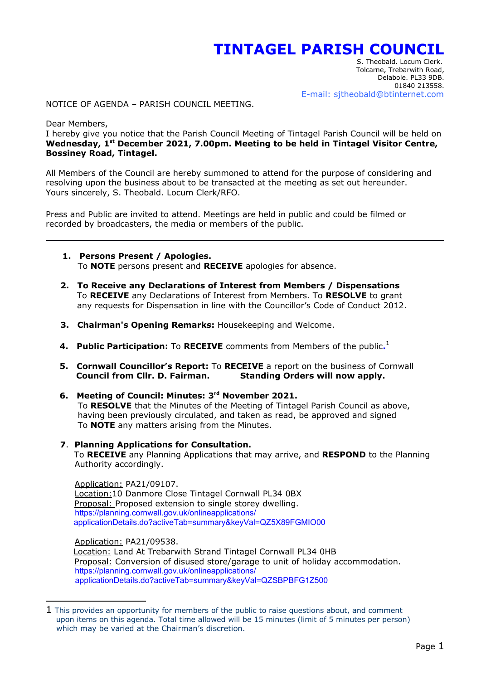## **TINTAGEL PARISH COUNCIL**

<span id="page-0-0"></span> S. Theobald. Locum Clerk. Tolcarne, Trebarwith Road, Delabole. PL33 9DB. 01840 213558. E-mail: sjtheobald@btinternet.com

NOTICE OF AGENDA – PARISH COUNCIL MEETING.

Dear Members,

I hereby give you notice that the Parish Council Meeting of Tintagel Parish Council will be held on **Wednesday, 1st December 2021, 7.00pm. Meeting to be held in Tintagel Visitor Centre, Bossiney Road, Tintagel.**

All Members of the Council are hereby summoned to attend for the purpose of considering and resolving upon the business about to be transacted at the meeting as set out hereunder. Yours sincerely, S. Theobald. Locum Clerk/RFO.

Press and Public are invited to attend. Meetings are held in public and could be filmed or recorded by broadcasters, the media or members of the public.

- **1. Persons Present / Apologies.** To **NOTE** persons present and **RECEIVE** apologies for absence.
- **2. To Receive any Declarations of Interest from Members / Dispensations** To **RECEIVE** any Declarations of Interest from Members. To **RESOLVE** to grant any requests for Dispensation in line with the Councillor's Code of Conduct 2012.
- **3. Chairman's Opening Remarks:** Housekeeping and Welcome.
- **4. Public Participation:** To **RECEIVE** comments from Members of the public.<sup>[1](#page-0-1)</sup>
	- **5. Cornwall Councillor's Report:** To **RECEIVE** a report on the business of Cornwall  **Council from Cllr. D. Fairman. Standing Orders will now apply.**
	- **6. Meeting of Council: Minutes: 3rd November 2021.** To **RESOLVE** that the Minutes of the Meeting of Tintagel Parish Council as above, having been previously circulated, and taken as read, be approved and signed To **NOTE** any matters arising from the Minutes.
	- **7**. **Planning Applications for Consultation.** To **RECEIVE** any Planning Applications that may arrive, and **RESPOND** to the Planning Authority accordingly.

 Application: PA21/09107. Location:10 Danmore Close Tintagel Cornwall PL34 0BX Proposal: Proposed extension to single storey dwelling. https://planning.cornwall.gov.uk/onlineapplications/ applicationDetails.do?activeTab=summary&keyVal=QZ5X89FGMIO00

 Application: PA21/09538. Location: Land At Trebarwith Strand Tintagel Cornwall PL34 0HB Proposal: Conversion of disused store/garage to unit of holiday accommodation. https://planning.cornwall.gov.uk/onlineapplications/ applicationDetails.do?activeTab=summary&keyVal=QZSBPBFG1Z500

<span id="page-0-1"></span> $1$  This provides an opportunity for members of the public to raise questions about, and comment upon items on this agenda. Total time allowed will be 15 minutes (limit of 5 minutes per person) which may be varied at the Chairman's discretion.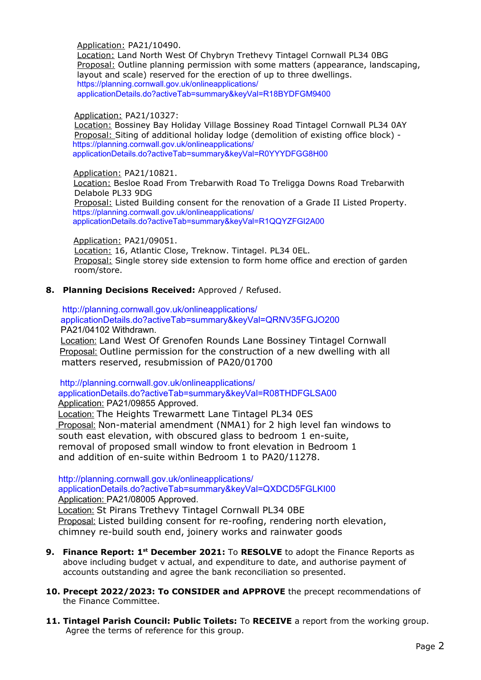Application: PA21/10490.

 Location: Land North West Of Chybryn Trethevy Tintagel Cornwall PL34 0BG Proposal: Outline planning permission with some matters (appearance, landscaping, layout and scale) reserved for the erection of up to three dwellings. https://planning.cornwall.gov.uk/onlineapplications/ applicationDetails.do?activeTab=summary&keyVal=R18BYDFGM9400

## Application: PA21/10327:

 Location: Bossiney Bay Holiday Village Bossiney Road Tintagel Cornwall PL34 0AY Proposal: Siting of additional holiday lodge (demolition of existing office block) https://planning.cornwall.gov.uk/onlineapplications/ applicationDetails.do?activeTab=summary&keyVal=R0YYYDFGG8H00

Application: PA21/10821.

Location: Besloe Road From Trebarwith Road To Treligga Downs Road Trebarwith Delabole PL33 9DG

 Proposal: Listed Building consent for the renovation of a Grade II Listed Property. https://planning.cornwall.gov.uk/onlineapplications/ applicationDetails.do?activeTab=summary&keyVal=R1QQYZFGI2A00

Application: PA21/09051.

 Location: 16, Atlantic Close, Treknow. Tintagel. PL34 0EL. Proposal: Single storey side extension to form home office and erection of garden room/store.

## **8. Planning Decisions Received:** Approved / Refused.

http://planning.cornwall.gov.uk/onlineapplications/ applicationDetails.do?activeTab=summary&keyVal=QRNV35FGJO200 PA21/04102 Withdrawn.

Location: Land West Of Grenofen Rounds Lane Bossiney Tintagel Cornwall **Proposal:** Outline permission for the construction of a new dwelling with all matters reserved, resubmission of PA20/01700

http://planning.cornwall.gov.uk/onlineapplications/

 applicationDetails.do?activeTab=summary&keyVal=R08THDFGLSA00 Application: PA21/09855 Approved.

Location: The Heights Trewarmett Lane Tintagel PL34 0ES **Proposal:** Non-material amendment (NMA1) for 2 high level fan windows to south east elevation, with obscured glass to bedroom 1 en-suite, removal of proposed small window to front elevation in Bedroom 1 and addition of en-suite within Bedroom 1 to PA20/11278.

 http://planning.cornwall.gov.uk/onlineapplications/ applicationDetails.do?activeTab=summary&keyVal=QXDCD5FGLKI00 Application: PA21/08005 Approved. Location: St Pirans Trethevy Tintagel Cornwall PL34 0BE Proposal: Listed building consent for re-roofing, rendering north elevation, chimney re-build south end, joinery works and rainwater goods

- **9. Finance Report: 1st December 2021:** To **RESOLVE** to adopt the Finance Reports as above including budget v actual, and expenditure to date, and authorise payment of accounts outstanding and agree the bank reconciliation so presented.
- **10. Precept 2022/2023: To CONSIDER and APPROVE** the precept recommendations of the Finance Committee.
- **11. Tintagel Parish Council: Public Toilets:** To **RECEIVE** a report from the working group. Agree the terms of reference for this group.